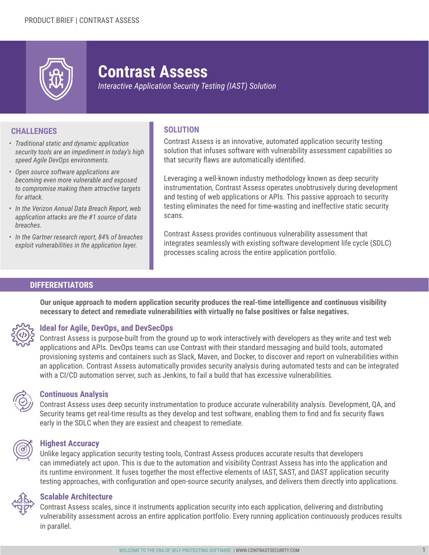

# **Contrast Assess**

*Interactive Application Security Testing (IAST) Solution*

# **CHALLENGES SOLUTION**

- *• Traditional static and dynamic application security tools are an impediment in today's high speed Agile DevOps environments.*
- *• Open source software applications are becoming even more vulnerable and exposed to compromise making them attractive targets for attack.*
- *• In the Verizon Annual Data Breach Report, web application attacks are the #1 source of data breaches.*
- *• In the Gartner research report, 84% of breaches exploit vulnerabilities in the application layer.*

Contrast Assess is an innovative, automated application security testing solution that infuses software with vulnerability assessment capabilities so that security flaws are automatically identified.

Leveraging a well-known industry methodology known as deep security instrumentation, Contrast Assess operates unobtrusively during development and testing of web applications or APIs. This passive approach to security testing eliminates the need for time-wasting and ineffective static security scans.

Contrast Assess provides continuous vulnerability assessment that integrates seamlessly with existing software development life cycle (SDLC) processes scaling across the entire application portfolio.

# **DIFFERENTIATORS**

**Our unique approach to modern application security produces the real-time intelligence and continuous visibility necessary to detect and remediate vulnerabilities with virtually no false positives or false negatives.**



# **Ideal for Agile, DevOps, and DevSecOps**

Contrast Assess is purpose-built from the ground up to work interactively with developers as they write and test web applications and APIs. DevOps teams can use Contrast with their standard messaging and build tools, automated provisioning systems and containers such as Slack, Maven, and Docker, to discover and report on vulnerabilities within an application. Contrast Assess automatically provides security analysis during automated tests and can be integrated with a CI/CD automation server, such as Jenkins, to fail a build that has excessive vulnerabilities.



# **Continuous Analysis**

Contrast Assess uses deep security instrumentation to produce accurate vulnerability analysis. Development, QA, and Security teams get real-time results as they develop and test software, enabling them to find and fix security flaws early in the SDLC when they are easiest and cheapest to remediate.



## **Highest Accuracy**

Unlike legacy application security testing tools, Contrast Assess produces accurate results that developers can immediately act upon. This is due to the automation and visibility Contrast Assess has into the application and its runtime environment. It fuses together the most effective elements of IAST, SAST, and DAST application security testing approaches, with configuration and open-source security analyses, and delivers them directly into applications.



# **Scalable Architecture**

Contrast Assess scales, since it instruments application security into each application, delivering and distributing vulnerability assessment across an entire application portfolio. Every running application continuously produces results in parallel.